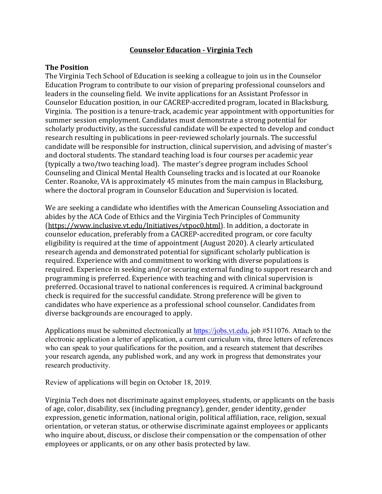## **Counselor Education - Virginia Tech**

## **The Position**

The Virginia Tech School of Education is seeking a colleague to join us in the Counselor Education Program to contribute to our vision of preparing professional counselors and leaders in the counseling field. We invite applications for an Assistant Professor in Counselor Education position, in our CACREP-accredited program, located in Blacksburg, Virginia. The position is a tenure-track, academic year appointment with opportunities for summer session employment. Candidates must demonstrate a strong potential for scholarly productivity, as the successful candidate will be expected to develop and conduct research resulting in publications in peer-reviewed scholarly journals. The successful candidate will be responsible for instruction, clinical supervision, and advising of master's and doctoral students. The standard teaching load is four courses per academic year (typically a two/two teaching load). The master's degree program includes School Counseling and Clinical Mental Health Counseling tracks and is located at our Roanoke Center. Roanoke, VA is approximately 45 minutes from the main campus in Blacksburg, where the doctoral program in Counselor Education and Supervision is located.

We are seeking a candidate who identifies with the American Counseling Association and abides by the ACA Code of Ethics and the Virginia Tech Principles of Community (https://www.inclusive.vt.edu/Initiatives/vtpoc0.html). In addition, a doctorate in counselor education, preferably from a CACREP-accredited program, or core faculty eligibility is required at the time of appointment (August 2020). A clearly articulated research agenda and demonstrated potential for significant scholarly publication is required. Experience with and commitment to working with diverse populations is required. Experience in seeking and/or securing external funding to support research and programming is preferred. Experience with teaching and with clinical supervision is preferred. Occasional travel to national conferences is required. A criminal background check is required for the successful candidate. Strong preference will be given to candidates who have experience as a professional school counselor. Candidates from diverse backgrounds are encouraged to apply.

Applications must be submitted electronically at https://jobs.vt.edu, job #511076. Attach to the electronic application a letter of application, a current curriculum vita, three letters of references who can speak to your qualifications for the position, and a research statement that describes your research agenda, any published work, and any work in progress that demonstrates your research productivity.

Review of applications will begin on October 18, 2019.

Virginia Tech does not discriminate against employees, students, or applicants on the basis of age, color, disability, sex (including pregnancy), gender, gender identity, gender expression, genetic information, national origin, political affiliation, race, religion, sexual orientation, or veteran status, or otherwise discriminate against employees or applicants who inquire about, discuss, or disclose their compensation or the compensation of other employees or applicants, or on any other basis protected by law.